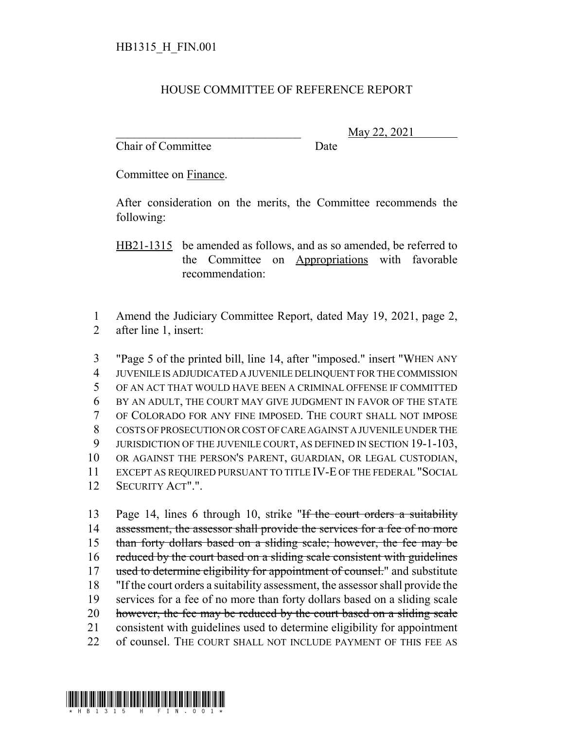## HOUSE COMMITTEE OF REFERENCE REPORT

Chair of Committee Date

\_\_\_\_\_\_\_\_\_\_\_\_\_\_\_\_\_\_\_\_\_\_\_\_\_\_\_\_\_\_\_ May 22, 2021

Committee on Finance.

After consideration on the merits, the Committee recommends the following:

HB21-1315 be amended as follows, and as so amended, be referred to the Committee on Appropriations with favorable recommendation:

1 Amend the Judiciary Committee Report, dated May 19, 2021, page 2, 2 after line 1, insert:

 "Page 5 of the printed bill, line 14, after "imposed." insert "WHEN ANY JUVENILE IS ADJUDICATED A JUVENILE DELINQUENT FOR THE COMMISSION OF AN ACT THAT WOULD HAVE BEEN A CRIMINAL OFFENSE IF COMMITTED BY AN ADULT, THE COURT MAY GIVE JUDGMENT IN FAVOR OF THE STATE OF COLORADO FOR ANY FINE IMPOSED. THE COURT SHALL NOT IMPOSE COSTS OF PROSECUTION OR COST OF CARE AGAINST A JUVENILE UNDER THE 9 JURISDICTION OF THE JUVENILE COURT, AS DEFINED IN SECTION 19-1-103, OR AGAINST THE PERSON'S PARENT, GUARDIAN, OR LEGAL CUSTODIAN, EXCEPT AS REQUIRED PURSUANT TO TITLE IV-E OF THE FEDERAL "SOCIAL SECURITY ACT".".

13 Page 14, lines 6 through 10, strike "If the court orders a suitability 14 assessment, the assessor shall provide the services for a fee of no more 15 than forty dollars based on a sliding scale; however, the fee may be 16 reduced by the court based on a sliding scale consistent with guidelines 17 used to determine eligibility for appointment of counsel." and substitute 18 "If the court orders a suitability assessment, the assessor shall provide the 19 services for a fee of no more than forty dollars based on a sliding scale 20 however, the fee may be reduced by the court based on a sliding scale 21 consistent with guidelines used to determine eligibility for appointment 22 of counsel. THE COURT SHALL NOT INCLUDE PAYMENT OF THIS FEE AS

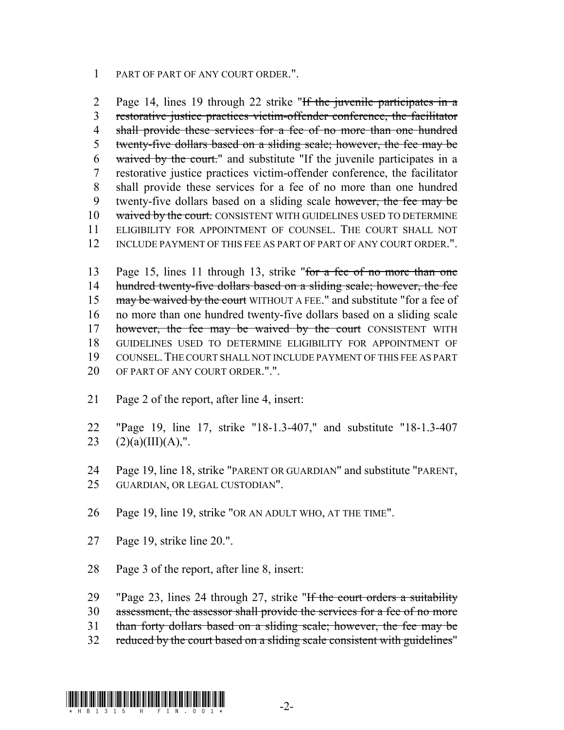## 1 PART OF PART OF ANY COURT ORDER.".

2 Page 14, lines 19 through 22 strike "If the juvenile participates in a 3 restorative justice practices victim-offender conference, the facilitator 4 shall provide these services for a fee of no more than one hundred 5 twenty-five dollars based on a sliding scale; however, the fee may be 6 waived by the court." and substitute "If the juvenile participates in a 7 restorative justice practices victim-offender conference, the facilitator 8 shall provide these services for a fee of no more than one hundred 9 twenty-five dollars based on a sliding scale however, the fee may be 10 waived by the court. CONSISTENT WITH GUIDELINES USED TO DETERMINE 11 ELIGIBILITY FOR APPOINTMENT OF COUNSEL. THE COURT SHALL NOT 12 INCLUDE PAYMENT OF THIS FEE AS PART OF PART OF ANY COURT ORDER.".

13 Page 15, lines 11 through 13, strike "for a fee of no more than one 14 hundred twenty-five dollars based on a sliding scale; however, the fee 15 may be waived by the court WITHOUT A FEE." and substitute "for a fee of 16 no more than one hundred twenty-five dollars based on a sliding scale 17 however, the fee may be waived by the court CONSISTENT WITH 18 GUIDELINES USED TO DETERMINE ELIGIBILITY FOR APPOINTMENT OF 19 COUNSEL.THE COURT SHALL NOT INCLUDE PAYMENT OF THIS FEE AS PART 20 OF PART OF ANY COURT ORDER.".".

- 21 Page 2 of the report, after line 4, insert:
- 22 "Page 19, line 17, strike "18-1.3-407," and substitute "18-1.3-407 23  $(2)(a)(III)(A),".$
- 24 Page 19, line 18, strike "PARENT OR GUARDIAN" and substitute "PARENT, 25 GUARDIAN, OR LEGAL CUSTODIAN".
- 26 Page 19, line 19, strike "OR AN ADULT WHO, AT THE TIME".
- 27 Page 19, strike line 20.".
- 28 Page 3 of the report, after line 8, insert:
- 29 "Page 23, lines 24 through 27, strike "If the court orders a suitability
- 30 assessment, the assessor shall provide the services for a fee of no more
- 31 than forty dollars based on a sliding scale; however, the fee may be
- 32 reduced by the court based on a sliding scale consistent with guidelines"

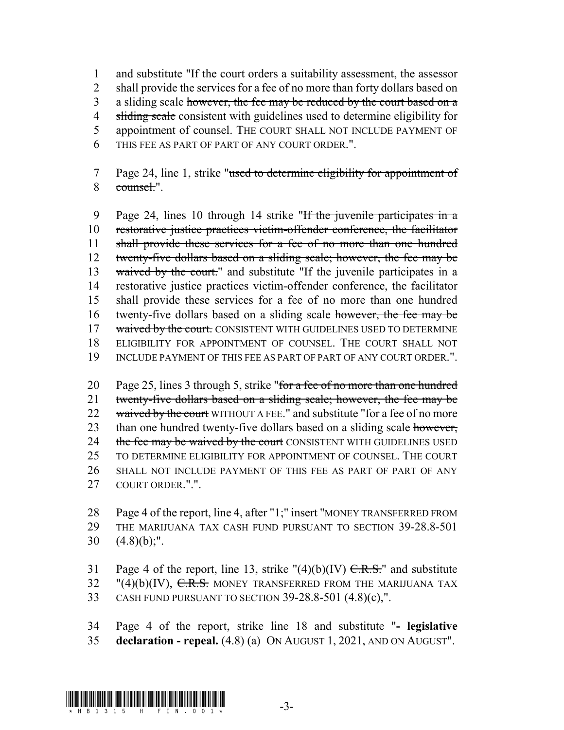1 and substitute "If the court orders a suitability assessment, the assessor 2 shall provide the services for a fee of no more than forty dollars based on 3 a sliding scale however, the fee may be reduced by the court based on a 4 sliding scale consistent with guidelines used to determine eligibility for 5 appointment of counsel. THE COURT SHALL NOT INCLUDE PAYMENT OF 6 THIS FEE AS PART OF PART OF ANY COURT ORDER.".

7 Page 24, line 1, strike "used to determine eligibility for appointment of 8 counsel.".

9 Page 24, lines 10 through 14 strike "If the juvenile participates in a 10 restorative justice practices victim-offender conference, the facilitator 11 shall provide these services for a fee of no more than one hundred 12 twenty-five dollars based on a sliding scale; however, the fee may be 13 waived by the court." and substitute "If the juvenile participates in a 14 restorative justice practices victim-offender conference, the facilitator 15 shall provide these services for a fee of no more than one hundred 16 twenty-five dollars based on a sliding scale however, the fee may be 17 waived by the court. CONSISTENT WITH GUIDELINES USED TO DETERMINE 18 ELIGIBILITY FOR APPOINTMENT OF COUNSEL. THE COURT SHALL NOT 19 INCLUDE PAYMENT OF THIS FEE AS PART OF PART OF ANY COURT ORDER.".

20 Page 25, lines 3 through 5, strike "for a fee of no more than one hundred 21 twenty-five dollars based on a sliding scale; however, the fee may be 22 waived by the court WITHOUT A FEE." and substitute "for a fee of no more 23 than one hundred twenty-five dollars based on a sliding scale however, 24 the fee may be waived by the court CONSISTENT WITH GUIDELINES USED 25 TO DETERMINE ELIGIBILITY FOR APPOINTMENT OF COUNSEL. THE COURT 26 SHALL NOT INCLUDE PAYMENT OF THIS FEE AS PART OF PART OF ANY 27 COURT ORDER.".".

28 Page 4 of the report, line 4, after "1;" insert "MONEY TRANSFERRED FROM 29 THE MARIJUANA TAX CASH FUND PURSUANT TO SECTION 39-28.8-501 30  $(4.8)(b)$ ;".

31 Page 4 of the report, line 13, strike  $''(4)(b)(IV)$  C.R.S." and substitute 32 "(4)(b)(IV), C.R.S. MONEY TRANSFERRED FROM THE MARIJUANA TAX 33 CASH FUND PURSUANT TO SECTION 39-28.8-501 (4.8)(c),".

34 Page 4 of the report, strike line 18 and substitute "**- legislative** 35 **declaration - repeal.** (4.8) (a) ON AUGUST 1, 2021, AND ON AUGUST".